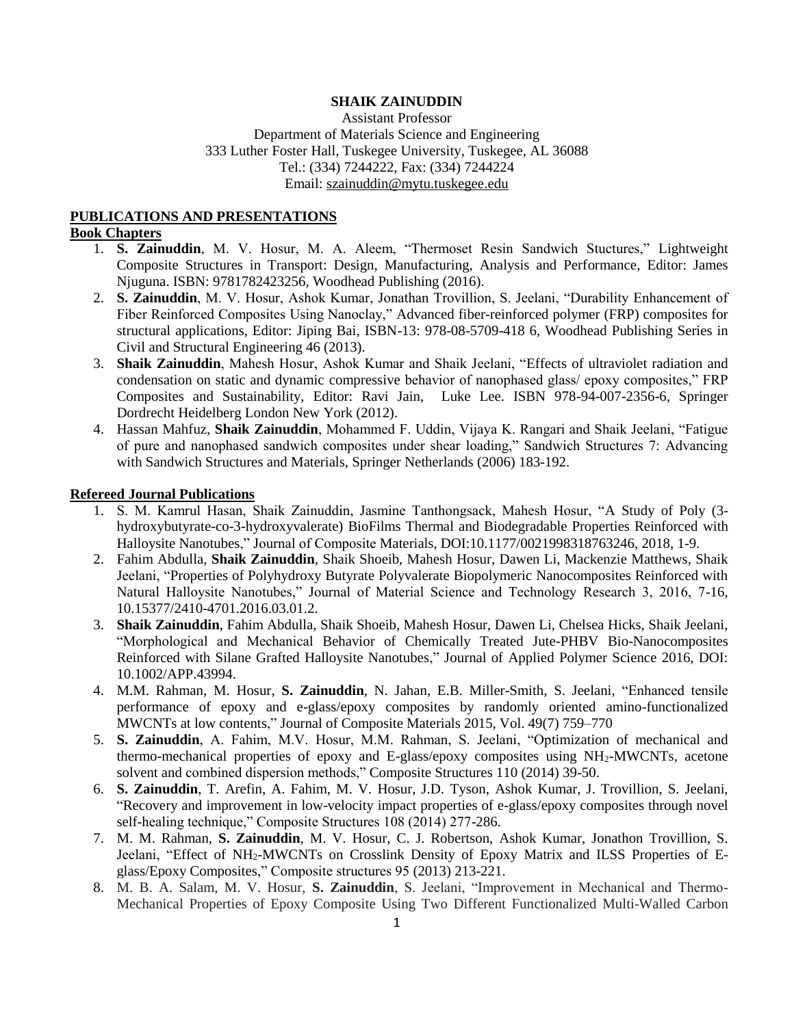# **SHAIK ZAINUDDIN**

Assistant Professor Department of Materials Science and Engineering 333 Luther Foster Hall, Tuskegee University, Tuskegee, AL 36088 Tel.: (334) 7244222, Fax: (334) 7244224 Email: [szainuddin@mytu.tuskegee.edu](mailto:szainuddin@mytu.tuskegee.edu)

## **PUBLICATIONS AND PRESENTATIONS**

#### **Book Chapters**

- 1. **S. Zainuddin**, M. V. Hosur, M. A. Aleem, "Thermoset Resin Sandwich Stuctures," Lightweight Composite Structures in Transport: Design, Manufacturing, Analysis and Performance, Editor: James Njuguna. ISBN: 9781782423256, Woodhead Publishing (2016).
- 2. **S. Zainuddin**, M. V. Hosur, Ashok Kumar, Jonathan Trovillion, S. Jeelani, "Durability Enhancement of Fiber Reinforced Composites Using Nanoclay," Advanced fiber-reinforced polymer (FRP) composites for structural applications, Editor: Jiping Bai, ISBN-13: 978-08-5709-418 6, Woodhead Publishing Series in Civil and Structural Engineering 46 (2013).
- 3. **Shaik Zainuddin**, Mahesh Hosur, Ashok Kumar and Shaik Jeelani, "Effects of ultraviolet radiation and condensation on static and dynamic compressive behavior of nanophased glass/ epoxy composites," FRP Composites and Sustainability, Editor: Ravi Jain, Luke Lee. ISBN 978-94-007-2356-6, Springer Dordrecht Heidelberg London New York (2012).
- 4. Hassan Mahfuz, **Shaik Zainuddin**, Mohammed F. Uddin, Vijaya K. Rangari and Shaik Jeelani, "Fatigue of pure and nanophased sandwich composites under shear loading," Sandwich Structures 7: Advancing with Sandwich Structures and Materials, Springer Netherlands (2006) 183-192.

### **Refereed Journal Publications**

- 1. S. M. Kamrul Hasan, Shaik Zainuddin, Jasmine Tanthongsack, Mahesh Hosur, "A Study of Poly (3 hydroxybutyrate-co-3-hydroxyvalerate) BioFilms Thermal and Biodegradable Properties Reinforced with Halloysite Nanotubes," Journal of Composite Materials, DOI:10.1177/0021998318763246, 2018, 1-9.
- 2. Fahim Abdulla, **Shaik Zainuddin**, Shaik Shoeib, Mahesh Hosur, Dawen Li, Mackenzie Matthews, Shaik Jeelani, "Properties of Polyhydroxy Butyrate Polyvalerate Biopolymeric Nanocomposites Reinforced with Natural Halloysite Nanotubes," Journal of Material Science and Technology Research 3, 2016, 7-16, 10.15377/2410-4701.2016.03.01.2.
- 3. **Shaik Zainuddin**, Fahim Abdulla, Shaik Shoeib, Mahesh Hosur, Dawen Li, Chelsea Hicks, Shaik Jeelani, "Morphological and Mechanical Behavior of Chemically Treated Jute-PHBV Bio-Nanocomposites Reinforced with Silane Grafted Halloysite Nanotubes," Journal of Applied Polymer Science 2016, DOI: 10.1002/APP.43994.
- 4. M.M. Rahman, M. Hosur, **S. Zainuddin**, N. Jahan, E.B. Miller-Smith, S. Jeelani, "Enhanced tensile performance of epoxy and e-glass/epoxy composites by randomly oriented amino-functionalized MWCNTs at low contents," Journal of Composite Materials 2015, Vol. 49(7) 759–770
- 5. **S. Zainuddin**, A. Fahim, M.V. Hosur, M.M. Rahman, S. Jeelani, "Optimization of mechanical and thermo-mechanical properties of epoxy and E-glass/epoxy composites using  $NH<sub>2</sub>-MWCNTs$ , acetone solvent and combined dispersion methods," Composite Structures 110 (2014) 39-50.
- 6. **S. Zainuddin**, T. Arefin, A. Fahim, M. V. Hosur, J.D. Tyson, Ashok Kumar, J. Trovillion, S. Jeelani, "Recovery and improvement in low-velocity impact properties of e-glass/epoxy composites through novel self-healing technique," Composite Structures 108 (2014) 277-286.
- 7. M. M. Rahman, **S. Zainuddin**, M. V. Hosur, C. J. Robertson, Ashok Kumar, Jonathon Trovillion, S. Jeelani, "Effect of NH2[-MWCNTs on Crosslink Density of Epoxy](http://scholar.google.com/citations?view_op=view_citation&hl=en&user=D0xbsQ4AAAAJ&citation_for_view=D0xbsQ4AAAAJ:8k81kl-MbHgC) Matrix and ILSS Properties of E[glass/Epoxy Composites,](http://scholar.google.com/citations?view_op=view_citation&hl=en&user=D0xbsQ4AAAAJ&citation_for_view=D0xbsQ4AAAAJ:8k81kl-MbHgC)" Composite structures 95 (2013) 213-221.
- 8. M. B. A. Salam, M. V. Hosur, **S. Zainuddin**, S. Jeelani, "Improvement in Mechanical and Thermo-Mechanical Properties of Epoxy Composite Using Two Different Functionalized Multi-Walled Carbon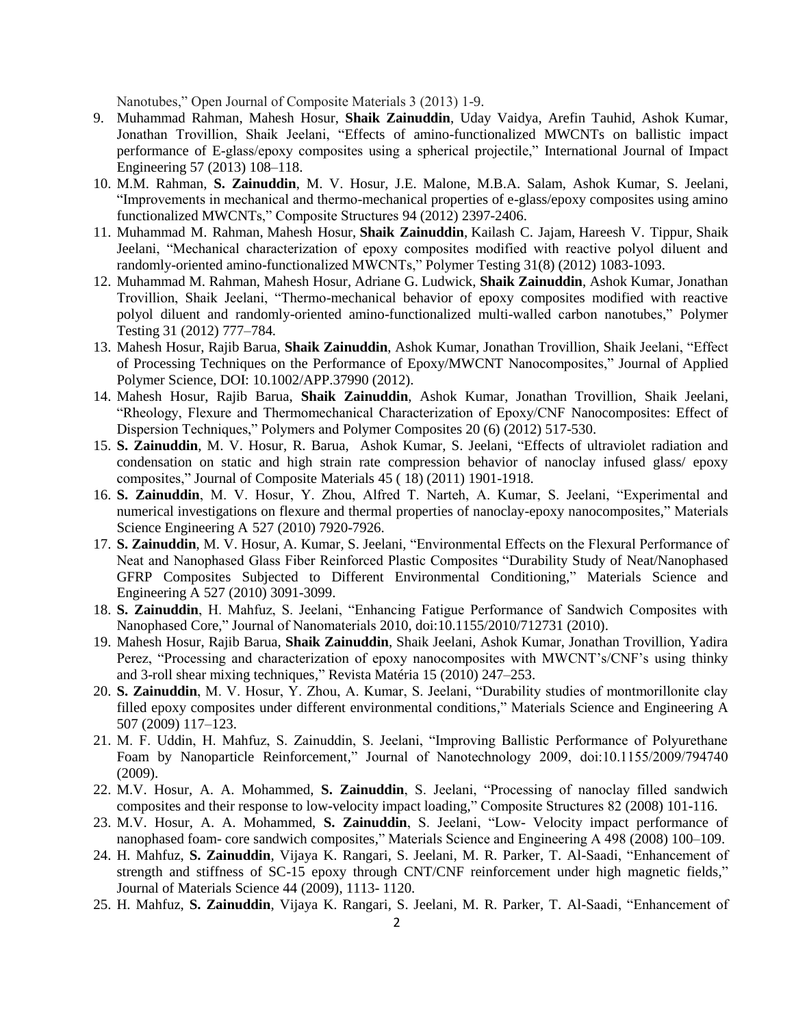Nanotubes," Open Journal of Composite Materials 3 (2013) 1-9.

- 9. Muhammad Rahman, Mahesh Hosur, **Shaik Zainuddin**, Uday Vaidya, Arefin Tauhid, Ashok Kumar, Jonathan Trovillion, Shaik Jeelani, "Effects of amino-functionalized MWCNTs on ballistic impact performance of E-glass/epoxy composites using a spherical projectile," [International](http://www.sciencedirect.com/science/journal/0734743X) Journal of Impact [Engineering](http://www.sciencedirect.com/science/journal/0734743X) 57 (2013) 108–118.
- 10. M.M. Rahman, **S. Zainuddin**, M. V. Hosur, J.E. Malone, M.B.A. Salam, Ashok Kumar, S. Jeelani, "Improvements in mechanical and thermo-mechanical properties of e-glass/epoxy composites using amino functionalized MWCNTs," Composite Structures 94 (2012) 2397-2406.
- 11. [Muhammad](http://www.sciencedirect.com/science/article/pii/S0142941812001596) M. Rahman, [Mahesh](http://www.sciencedirect.com/science/article/pii/S0142941812001596) Hosur, **Shaik [Zainuddin](http://www.sciencedirect.com/science/article/pii/S0142941812001596)**, [Kailash](http://www.sciencedirect.com/science/article/pii/S0142941812001596) C. Jajam, [Hareesh](http://www.sciencedirect.com/science/article/pii/S0142941812001596) V. Tippur, [Shaik](http://www.sciencedirect.com/science/article/pii/S0142941812001596) [Jeelani,](http://www.sciencedirect.com/science/article/pii/S0142941812001596) "Mechanical characterization of epoxy composites modified with reactive polyol diluent and randomly-oriented amino-functionalized MWCNTs," [Polymer](http://www.sciencedirect.com/science/journal/01429418) Testing 31(8) (2012) 1083-1093.
- 12. Muhammad M. Rahman, Mahesh Hosur, Adriane G. Ludwick, **Shaik Zainuddin**, Ashok Kumar, Jonathan Trovillion, Shaik Jeelani, "Thermo-mechanical behavior of epoxy composites modified with reactive polyol diluent and randomly-oriented amino-functionalized multi-walled carbon nanotubes," Polymer Testing 31 (2012) 777–784.
- 13. Mahesh Hosur, Rajib Barua, **Shaik Zainuddin**, Ashok Kumar, Jonathan Trovillion, Shaik Jeelani, "Effect of Processing Techniques on the Performance of Epoxy/MWCNT Nanocomposites," Journal of Applied Polymer Science, DOI: 10.1002/APP.37990 (2012).
- 14. Mahesh Hosur, Rajib Barua, **Shaik Zainuddin**, Ashok Kumar, Jonathan Trovillion, Shaik Jeelani, "Rheology, Flexure and Thermomechanical Characterization of Epoxy/CNF Nanocomposites: Effect of Dispersion Techniques," Polymers and Polymer Composites 20 (6) (2012) 517-530.
- 15. **S. Zainuddin**, M. V. Hosur, R. Barua, Ashok Kumar, S. Jeelani, "Effects of ultraviolet radiation and condensation on static and high strain rate compression behavior of nanoclay infused glass/ epoxy composites," Journal of Composite Materials 45 ( 18) (2011) 1901-1918.
- 16. **S. Zainuddin**, M. V. Hosur, Y. Zhou, Alfred T. Narteh, A. Kumar, S. Jeelani, "Experimental and numerical investigations on flexure and thermal properties of nanoclay-epoxy nanocomposites," Materials Science Engineering A 527 (2010) 7920-7926.
- 17. **S. Zainuddin**, M. V. Hosur, A. Kumar, S. Jeelani, "Environmental Effects on the Flexural Performance of Neat and Nanophased Glass Fiber Reinforced Plastic Composites "Durability Study of Neat/Nanophased GFRP Composites Subjected to Different Environmental Conditioning," Materials Science and Engineering A 527 (2010) 3091-3099.
- 18. **S. Zainuddin**, H. Mahfuz, S. Jeelani, "Enhancing Fatigue Performance of Sandwich Composites with Nanophased Core," Journal of Nanomaterials 2010, doi:10.1155/2010/712731 (2010).
- 19. Mahesh Hosur, Rajib Barua, **Shaik Zainuddin**, Shaik Jeelani, Ashok Kumar, Jonathan Trovillion, Yadira Perez, "Processing and characterization of epoxy nanocomposites with MWCNT's/CNF's using thinky and 3-roll shear mixing techniques," Revista Matéria 15 (2010) 247–253.
- 20. **S. Zainuddin**, M. V. Hosur, Y. Zhou, A. Kumar, S. Jeelani, "Durability studies of montmorillonite clay filled epoxy composites under different environmental conditions," Materials Science and Engineering A 507 (2009) 117–123.
- 21. M. F. Uddin, H. Mahfuz, S. Zainuddin, S. Jeelani, "Improving Ballistic Performance of Polyurethane Foam by Nanoparticle Reinforcement," Journal of Nanotechnology 2009, doi:10.1155/2009/794740 (2009).
- 22. M.V. Hosur, A. A. Mohammed, **S. Zainuddin**, S. Jeelani, "Processing of nanoclay filled sandwich composites and their response to low-velocity impact loading," Composite Structures 82 (2008) 101-116.
- 23. M.V. Hosur, A. A. Mohammed, **S. Zainuddin**, S. Jeelani, "Low- Velocity impact performance of nanophased foam- core sandwich composites," Materials Science and Engineering A 498 (2008) 100–109.
- 24. H. Mahfuz, **S. Zainuddin**, Vijaya K. Rangari, S. Jeelani, M. R. Parker, T. Al-Saadi, "Enhancement of strength and stiffness of SC-15 epoxy through CNT/CNF reinforcement under high magnetic fields," Journal of Materials Science 44 (2009), 1113- 1120.
- 25. H. Mahfuz, **S. Zainuddin**, Vijaya K. Rangari, S. Jeelani, M. R. Parker, T. Al-Saadi, "Enhancement of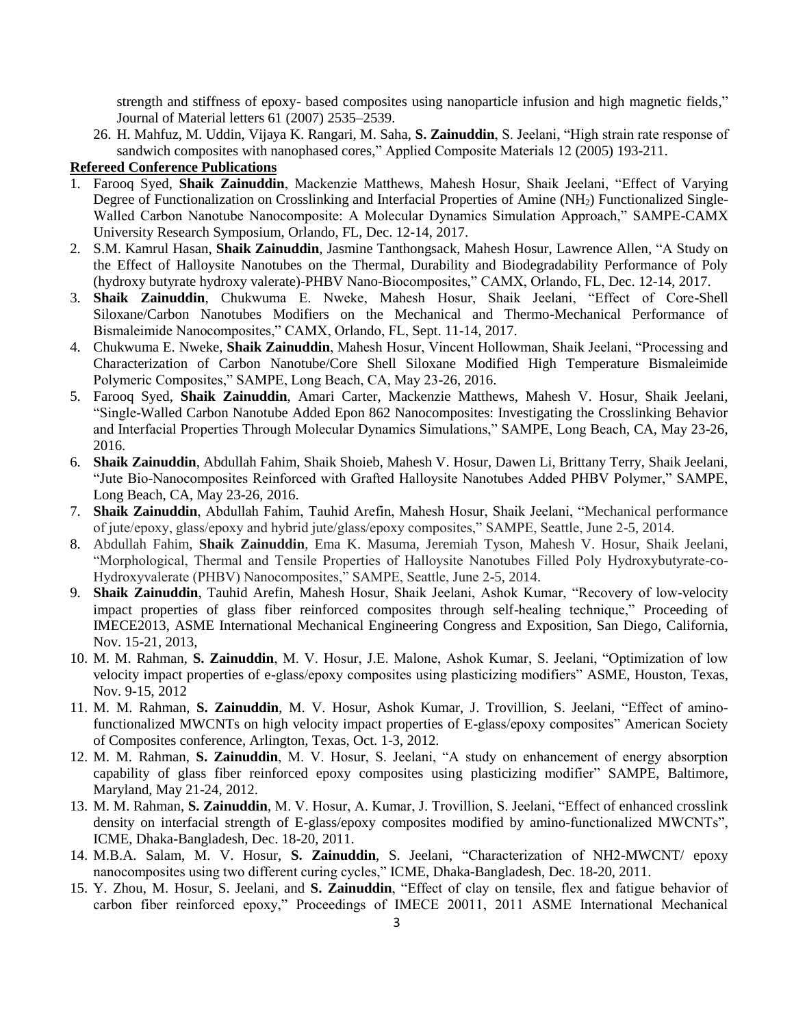strength and stiffness of epoxy- based composites using nanoparticle infusion and high magnetic fields," Journal of Material letters 61 (2007) 2535–2539.

26. H. Mahfuz, M. Uddin, Vijaya K. Rangari, M. Saha, **S. Zainuddin**, S. Jeelani, "High strain rate response of sandwich composites with nanophased cores," Applied Composite Materials 12 (2005) 193-211.

# **Refereed Conference Publications**

- 1. Farooq Syed, **Shaik Zainuddin**, Mackenzie Matthews, Mahesh Hosur, Shaik Jeelani, "Effect of Varying Degree of Functionalization on Crosslinking and Interfacial Properties of Amine (NH<sub>2</sub>) Functionalized Single-Walled Carbon Nanotube Nanocomposite: A Molecular Dynamics Simulation Approach," SAMPE-CAMX University Research Symposium, Orlando, FL, Dec. 12-14, 2017.
- 2. S.M. Kamrul Hasan, **Shaik Zainuddin**, Jasmine Tanthongsack, Mahesh Hosur, Lawrence Allen, "A Study on the Effect of Halloysite Nanotubes on the Thermal, Durability and Biodegradability Performance of Poly (hydroxy butyrate hydroxy valerate)-PHBV Nano-Biocomposites," CAMX, Orlando, FL, Dec. 12-14, 2017.
- 3. **Shaik Zainuddin**, Chukwuma E. Nweke, Mahesh Hosur, Shaik Jeelani, "Effect of Core-Shell Siloxane/Carbon Nanotubes Modifiers on the Mechanical and Thermo-Mechanical Performance of Bismaleimide Nanocomposites," CAMX, Orlando, FL, Sept. 11-14, 2017.
- 4. Chukwuma E. Nweke, **Shaik Zainuddin**, Mahesh Hosur, Vincent Hollowman, Shaik Jeelani, "Processing and Characterization of Carbon Nanotube/Core Shell Siloxane Modified High Temperature Bismaleimide Polymeric Composites," SAMPE, Long Beach, CA, May 23-26, 2016.
- 5. Farooq Syed, **Shaik Zainuddin**, Amari Carter, Mackenzie Matthews, Mahesh V. Hosur, Shaik Jeelani, "Single-Walled Carbon Nanotube Added Epon 862 Nanocomposites: Investigating the Crosslinking Behavior and Interfacial Properties Through Molecular Dynamics Simulations," SAMPE, Long Beach, CA, May 23-26, 2016.
- 6. **Shaik Zainuddin**, Abdullah Fahim, Shaik Shoieb, Mahesh V. Hosur, Dawen Li, Brittany Terry, Shaik Jeelani, "Jute Bio-Nanocomposites Reinforced with Grafted Halloysite Nanotubes Added PHBV Polymer," SAMPE, Long Beach, CA, May 23-26, 2016.
- 7. **Shaik Zainuddin**, Abdullah Fahim, Tauhid Arefin, Mahesh Hosur, Shaik Jeelani, "Mechanical performance of jute/epoxy, glass/epoxy and hybrid jute/glass/epoxy composites," SAMPE, Seattle, June 2-5, 2014.
- 8. Abdullah Fahim, **Shaik Zainuddin**, Ema K. Masuma, Jeremiah Tyson, Mahesh V. Hosur, Shaik Jeelani, "Morphological, Thermal and Tensile Properties of Halloysite Nanotubes Filled Poly Hydroxybutyrate-co-Hydroxyvalerate (PHBV) Nanocomposites," SAMPE, Seattle, June 2-5, 2014.
- 9. **Shaik Zainuddin**, Tauhid Arefin, Mahesh Hosur, Shaik Jeelani, Ashok Kumar, "Recovery of low-velocity impact properties of glass fiber reinforced composites through self-healing technique," Proceeding of IMECE2013, ASME International Mechanical Engineering Congress and Exposition, San Diego, California, Nov. 15-21, 2013,
- 10. M. M. Rahman, **S. Zainuddin**, M. V. Hosur, J.E. Malone, Ashok Kumar, S. Jeelani, "Optimization of low velocity impact properties of e-glass/epoxy composites using plasticizing modifiers" ASME, Houston, Texas, Nov. 9-15, 2012
- 11. M. M. Rahman, **S. Zainuddin**, M. V. Hosur, Ashok Kumar, J. Trovillion, S. Jeelani, "Effect of aminofunctionalized MWCNTs on high velocity impact properties of E-glass/epoxy composites" American Society of Composites conference, Arlington, Texas, Oct. 1-3, 2012.
- 12. M. M. Rahman, **S. Zainuddin**, M. V. Hosur, S. Jeelani, "A study on enhancement of energy absorption capability of glass fiber reinforced epoxy composites using plasticizing modifier" SAMPE, Baltimore, Maryland, May 21-24, 2012.
- 13. M. M. Rahman, **S. Zainuddin**, M. V. Hosur, A. Kumar, J. Trovillion, S. Jeelani, "Effect of enhanced crosslink density on interfacial strength of E-glass/epoxy composites modified by amino-functionalized MWCNTs", ICME, Dhaka-Bangladesh, Dec. 18-20, 2011.
- 14. M.B.A. Salam, M. V. Hosur, **S. Zainuddin**, S. Jeelani, "Characterization of NH2-MWCNT/ epoxy nanocomposites using two different curing cycles," ICME, Dhaka-Bangladesh, Dec. 18-20, 2011.
- 15. Y. Zhou, M. Hosur, S. Jeelani, and **S. Zainuddin**, "Effect of clay on tensile, flex and fatigue behavior of carbon fiber reinforced epoxy," Proceedings of IMECE 20011, 2011 ASME International Mechanical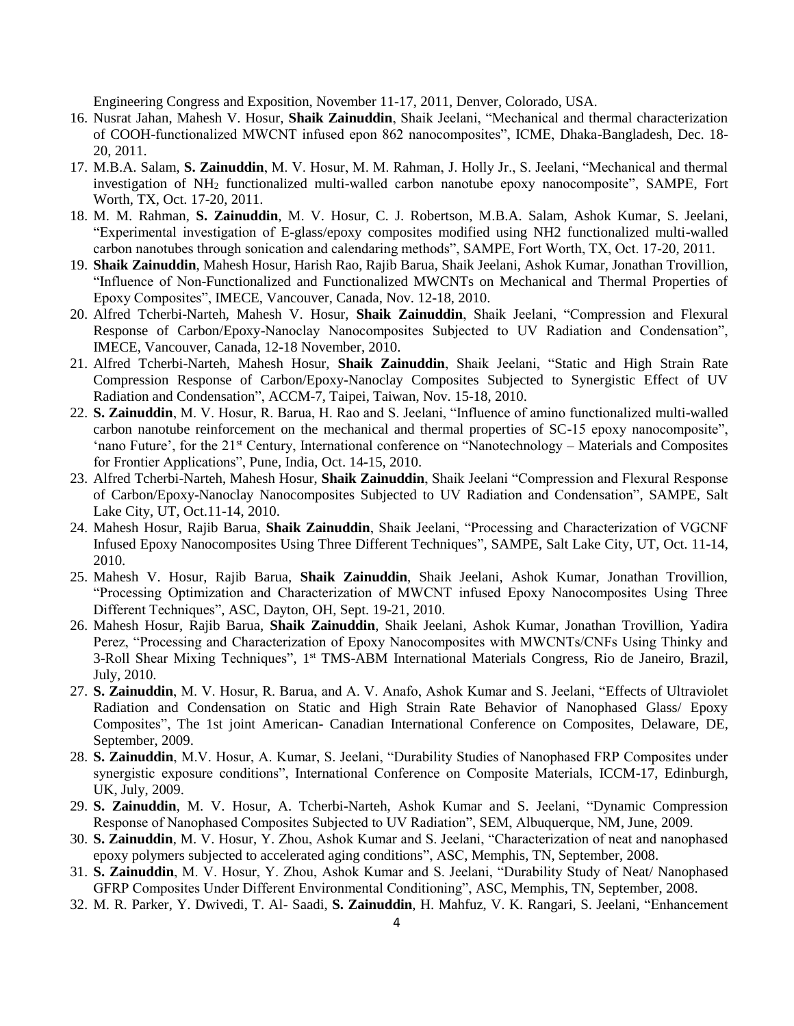Engineering Congress and Exposition, November 11-17, 2011, Denver, Colorado, USA.

- 16. Nusrat Jahan, Mahesh V. Hosur, **Shaik Zainuddin**, Shaik Jeelani, "Mechanical and thermal characterization of COOH-functionalized MWCNT infused epon 862 nanocomposites", ICME, Dhaka-Bangladesh, Dec. 18- 20, 2011.
- 17. M.B.A. Salam, **S. Zainuddin**, M. V. Hosur, M. M. Rahman, J. Holly Jr., S. Jeelani, "Mechanical and thermal investigation of NH<sub>2</sub> functionalized multi-walled carbon nanotube epoxy nanocomposite", SAMPE, Fort Worth, TX, Oct. 17-20, 2011.
- 18. M. M. Rahman, **S. Zainuddin**, M. V. Hosur, C. J. Robertson, M.B.A. Salam, Ashok Kumar, S. Jeelani, "Experimental investigation of E-glass/epoxy composites modified using NH2 functionalized multi-walled carbon nanotubes through sonication and calendaring methods", SAMPE, Fort Worth, TX, Oct. 17-20, 2011.
- 19. **Shaik Zainuddin**, Mahesh Hosur, Harish Rao, Rajib Barua, Shaik Jeelani, Ashok Kumar, Jonathan Trovillion, "Influence of Non-Functionalized and Functionalized MWCNTs on Mechanical and Thermal Properties of Epoxy Composites", IMECE, Vancouver, Canada, Nov. 12-18, 2010.
- 20. Alfred Tcherbi-Narteh, Mahesh V. Hosur, **Shaik Zainuddin**, Shaik Jeelani, "Compression and Flexural Response of Carbon/Epoxy-Nanoclay Nanocomposites Subjected to UV Radiation and Condensation", IMECE, Vancouver, Canada, 12-18 November, 2010.
- 21. Alfred Tcherbi-Narteh, Mahesh Hosur, **Shaik Zainuddin**, Shaik Jeelani, "Static and High Strain Rate Compression Response of Carbon/Epoxy-Nanoclay Composites Subjected to Synergistic Effect of UV Radiation and Condensation", ACCM-7, Taipei, Taiwan, Nov. 15-18, 2010.
- 22. **S. Zainuddin**, M. V. Hosur, R. Barua, H. Rao and S. Jeelani, "Influence of amino functionalized multi-walled carbon nanotube reinforcement on the mechanical and thermal properties of SC-15 epoxy nanocomposite", 'nano Future', for the 21st Century, International conference on "Nanotechnology – Materials and Composites for Frontier Applications", Pune, India, Oct. 14-15, 2010.
- 23. Alfred Tcherbi-Narteh, Mahesh Hosur, **Shaik Zainuddin**, Shaik Jeelani "Compression and Flexural Response of Carbon/Epoxy-Nanoclay Nanocomposites Subjected to UV Radiation and Condensation", SAMPE, Salt Lake City, UT, Oct.11-14, 2010.
- 24. Mahesh Hosur, Rajib Barua, **Shaik Zainuddin**, Shaik Jeelani, "Processing and Characterization of VGCNF Infused Epoxy Nanocomposites Using Three Different Techniques", SAMPE, Salt Lake City, UT, Oct. 11-14, 2010.
- 25. Mahesh V. Hosur, Rajib Barua, **Shaik Zainuddin**, Shaik Jeelani, Ashok Kumar, Jonathan Trovillion, "Processing Optimization and Characterization of MWCNT infused Epoxy Nanocomposites Using Three Different Techniques", ASC, Dayton, OH, Sept. 19-21, 2010.
- 26. Mahesh Hosur, Rajib Barua, **Shaik Zainuddin**, Shaik Jeelani, Ashok Kumar, Jonathan Trovillion, Yadira Perez, "Processing and Characterization of Epoxy Nanocomposites with MWCNTs/CNFs Using Thinky and 3-Roll Shear Mixing Techniques", 1<sup>st</sup> TMS-ABM International Materials Congress, Rio de Janeiro, Brazil, July, 2010.
- 27. **S. Zainuddin**, M. V. Hosur, R. Barua, and A. V. Anafo, Ashok Kumar and S. Jeelani, "Effects of Ultraviolet Radiation and Condensation on Static and High Strain Rate Behavior of Nanophased Glass/ Epoxy Composites", The 1st joint American- Canadian International Conference on Composites, Delaware, DE, September, 2009.
- 28. **S. Zainuddin**, M.V. Hosur, A. Kumar, S. Jeelani, "Durability Studies of Nanophased FRP Composites under synergistic exposure conditions", International Conference on Composite Materials, ICCM-17, Edinburgh, UK, July, 2009.
- 29. **S. Zainuddin**, M. V. Hosur, A. Tcherbi-Narteh, Ashok Kumar and S. Jeelani, "Dynamic Compression Response of Nanophased Composites Subjected to UV Radiation", SEM, Albuquerque, NM, June, 2009.
- 30. **S. Zainuddin**, M. V. Hosur, Y. Zhou, Ashok Kumar and S. Jeelani, "Characterization of neat and nanophased epoxy polymers subjected to accelerated aging conditions", ASC, Memphis, TN, September, 2008.
- 31. **S. Zainuddin**, M. V. Hosur, Y. Zhou, Ashok Kumar and S. Jeelani, "Durability Study of Neat/ Nanophased GFRP Composites Under Different Environmental Conditioning", ASC, Memphis, TN, September, 2008.
- 32. M. R. Parker, Y. Dwivedi, T. Al- Saadi, **S. Zainuddin**, H. Mahfuz, V. K. Rangari, S. Jeelani, "Enhancement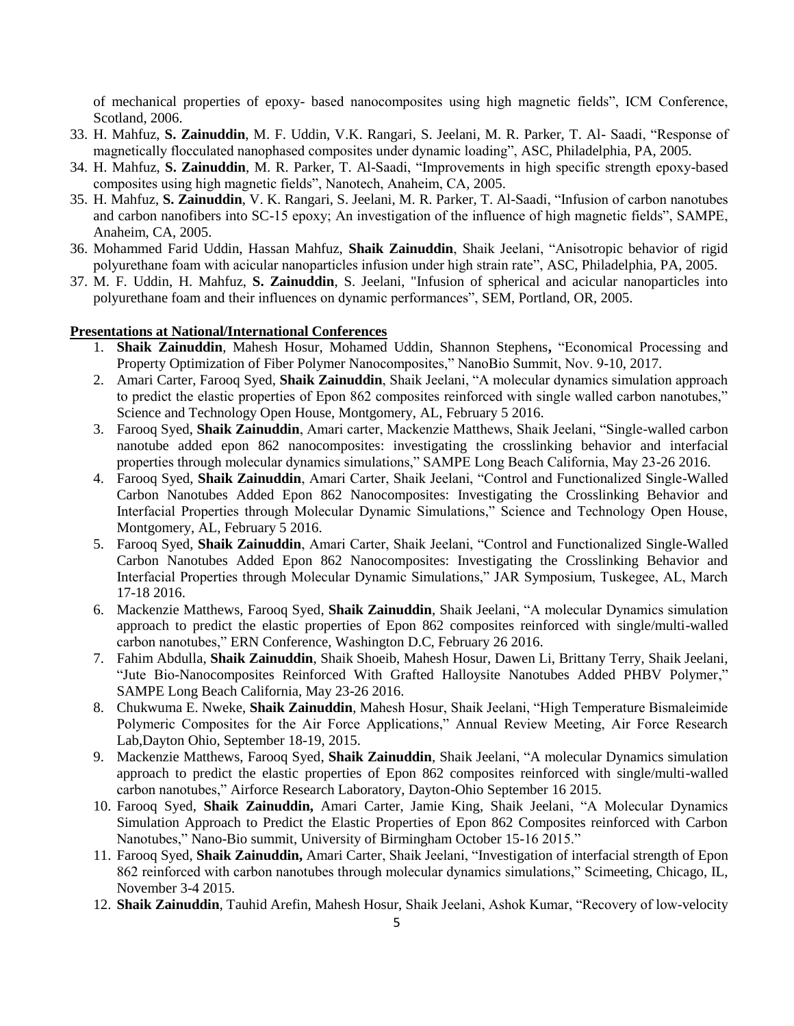of mechanical properties of epoxy- based nanocomposites using high magnetic fields", ICM Conference, Scotland, 2006.

- 33. H. Mahfuz, **S. Zainuddin**, M. F. Uddin, V.K. Rangari, S. Jeelani, M. R. Parker, T. Al- Saadi, "Response of magnetically flocculated nanophased composites under dynamic loading", ASC, Philadelphia, PA, 2005.
- 34. H. Mahfuz, **S. Zainuddin**, M. R. Parker, T. Al-Saadi, "Improvements in high specific strength epoxy-based composites using high magnetic fields", Nanotech, Anaheim, CA, 2005.
- 35. H. Mahfuz, **S. Zainuddin**, V. K. Rangari, S. Jeelani, M. R. Parker, T. Al-Saadi, "Infusion of carbon nanotubes and carbon nanofibers into SC-15 epoxy; An investigation of the influence of high magnetic fields", SAMPE, Anaheim, CA, 2005.
- 36. Mohammed Farid Uddin, Hassan Mahfuz, **Shaik Zainuddin**, Shaik Jeelani, "Anisotropic behavior of rigid polyurethane foam with acicular nanoparticles infusion under high strain rate", ASC, Philadelphia, PA, 2005.
- 37. M. F. Uddin, H. Mahfuz, **S. Zainuddin**, S. Jeelani, "Infusion of spherical and acicular nanoparticles into polyurethane foam and their influences on dynamic performances", SEM, Portland, OR, 2005.

#### **Presentations at National/International Conferences**

- 1. **Shaik Zainuddin**, Mahesh Hosur, Mohamed Uddin, Shannon Stephens**,** "Economical Processing and Property Optimization of Fiber Polymer Nanocomposites," NanoBio Summit, Nov. 9-10, 2017.
- 2. Amari Carter, Farooq Syed, **Shaik Zainuddin**, Shaik Jeelani, "A molecular dynamics simulation approach to predict the elastic properties of Epon 862 composites reinforced with single walled carbon nanotubes," Science and Technology Open House, Montgomery, AL, February 5 2016.
- 3. Farooq Syed, **Shaik Zainuddin**, Amari carter, Mackenzie Matthews, Shaik Jeelani, "Single-walled carbon nanotube added epon 862 nanocomposites: investigating the crosslinking behavior and interfacial properties through molecular dynamics simulations," SAMPE Long Beach California, May 23-26 2016.
- 4. Farooq Syed, **Shaik Zainuddin**, Amari Carter, Shaik Jeelani, "Control and Functionalized Single-Walled Carbon Nanotubes Added Epon 862 Nanocomposites: Investigating the Crosslinking Behavior and Interfacial Properties through Molecular Dynamic Simulations," Science and Technology Open House, Montgomery, AL, February 5 2016.
- 5. Farooq Syed, **Shaik Zainuddin**, Amari Carter, Shaik Jeelani, "Control and Functionalized Single-Walled Carbon Nanotubes Added Epon 862 Nanocomposites: Investigating the Crosslinking Behavior and Interfacial Properties through Molecular Dynamic Simulations," JAR Symposium, Tuskegee, AL, March 17-18 2016.
- 6. Mackenzie Matthews, Farooq Syed, **Shaik Zainuddin**, Shaik Jeelani, "A molecular Dynamics simulation approach to predict the elastic properties of Epon 862 composites reinforced with single/multi-walled carbon nanotubes," ERN Conference, Washington D.C, February 26 2016.
- 7. Fahim Abdulla, **Shaik Zainuddin**, Shaik Shoeib, Mahesh Hosur, Dawen Li, Brittany Terry, Shaik Jeelani, "Jute Bio-Nanocomposites Reinforced With Grafted Halloysite Nanotubes Added PHBV Polymer," SAMPE Long Beach California, May 23-26 2016.
- 8. Chukwuma E. Nweke, **Shaik Zainuddin**, Mahesh Hosur, Shaik Jeelani, "High Temperature Bismaleimide Polymeric Composites for the Air Force Applications," Annual Review Meeting, Air Force Research Lab,Dayton Ohio, September 18-19, 2015.
- 9. Mackenzie Matthews, Farooq Syed, **Shaik Zainuddin**, Shaik Jeelani, "A molecular Dynamics simulation approach to predict the elastic properties of Epon 862 composites reinforced with single/multi-walled carbon nanotubes," Airforce Research Laboratory, Dayton-Ohio September 16 2015.
- 10. Farooq Syed, **Shaik Zainuddin,** Amari Carter, Jamie King, Shaik Jeelani, "A Molecular Dynamics Simulation Approach to Predict the Elastic Properties of Epon 862 Composites reinforced with Carbon Nanotubes," Nano-Bio summit, University of Birmingham October 15-16 2015."
- 11. Farooq Syed, **Shaik Zainuddin,** Amari Carter, Shaik Jeelani, "Investigation of interfacial strength of Epon 862 reinforced with carbon nanotubes through molecular dynamics simulations," Scimeeting, Chicago, IL, November 3-4 2015.
- 12. **Shaik Zainuddin**, Tauhid Arefin, Mahesh Hosur, Shaik Jeelani, Ashok Kumar, "Recovery of low-velocity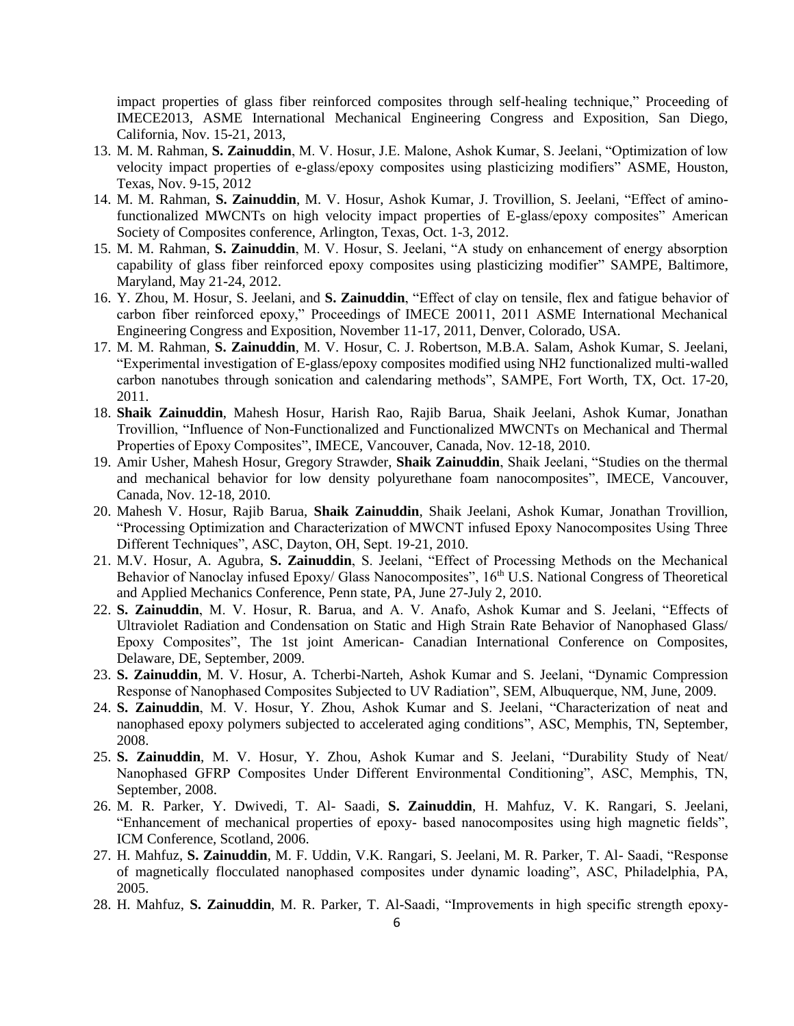impact properties of glass fiber reinforced composites through self-healing technique," Proceeding of IMECE2013, ASME International Mechanical Engineering Congress and Exposition, San Diego, California, Nov. 15-21, 2013,

- 13. M. M. Rahman, **S. Zainuddin**, M. V. Hosur, J.E. Malone, Ashok Kumar, S. Jeelani, "Optimization of low velocity impact properties of e-glass/epoxy composites using plasticizing modifiers" ASME, Houston, Texas, Nov. 9-15, 2012
- 14. M. M. Rahman, **S. Zainuddin**, M. V. Hosur, Ashok Kumar, J. Trovillion, S. Jeelani, "Effect of aminofunctionalized MWCNTs on high velocity impact properties of E-glass/epoxy composites" American Society of Composites conference, Arlington, Texas, Oct. 1-3, 2012.
- 15. M. M. Rahman, **S. Zainuddin**, M. V. Hosur, S. Jeelani, "A study on enhancement of energy absorption capability of glass fiber reinforced epoxy composites using plasticizing modifier" SAMPE, Baltimore, Maryland, May 21-24, 2012.
- 16. Y. Zhou, M. Hosur, S. Jeelani, and **S. Zainuddin**, "Effect of clay on tensile, flex and fatigue behavior of carbon fiber reinforced epoxy," Proceedings of IMECE 20011, 2011 ASME International Mechanical Engineering Congress and Exposition, November 11-17, 2011, Denver, Colorado, USA.
- 17. M. M. Rahman, **S. Zainuddin**, M. V. Hosur, C. J. Robertson, M.B.A. Salam, Ashok Kumar, S. Jeelani, "Experimental investigation of E-glass/epoxy composites modified using NH2 functionalized multi-walled carbon nanotubes through sonication and calendaring methods", SAMPE, Fort Worth, TX, Oct. 17-20, 2011.
- 18. **Shaik Zainuddin**, Mahesh Hosur, Harish Rao, Rajib Barua, Shaik Jeelani, Ashok Kumar, Jonathan Trovillion, "Influence of Non-Functionalized and Functionalized MWCNTs on Mechanical and Thermal Properties of Epoxy Composites", IMECE, Vancouver, Canada, Nov. 12-18, 2010.
- 19. Amir Usher, Mahesh Hosur, Gregory Strawder, **Shaik Zainuddin**, Shaik Jeelani, "Studies on the thermal and mechanical behavior for low density polyurethane foam nanocomposites", IMECE, Vancouver, Canada, Nov. 12-18, 2010.
- 20. Mahesh V. Hosur, Rajib Barua, **Shaik Zainuddin**, Shaik Jeelani, Ashok Kumar, Jonathan Trovillion, "Processing Optimization and Characterization of MWCNT infused Epoxy Nanocomposites Using Three Different Techniques", ASC, Dayton, OH, Sept. 19-21, 2010.
- 21. M.V. Hosur, A. Agubra, **S. Zainuddin**, S. Jeelani, "Effect of Processing Methods on the Mechanical Behavior of Nanoclay infused Epoxy/ Glass Nanocomposites", 16<sup>th</sup> U.S. National Congress of Theoretical and Applied Mechanics Conference, Penn state, PA, June 27-July 2, 2010.
- 22. **S. Zainuddin**, M. V. Hosur, R. Barua, and A. V. Anafo, Ashok Kumar and S. Jeelani, "Effects of Ultraviolet Radiation and Condensation on Static and High Strain Rate Behavior of Nanophased Glass/ Epoxy Composites", The 1st joint American- Canadian International Conference on Composites, Delaware, DE, September, 2009.
- 23. **S. Zainuddin**, M. V. Hosur, A. Tcherbi-Narteh, Ashok Kumar and S. Jeelani, "Dynamic Compression Response of Nanophased Composites Subjected to UV Radiation", SEM, Albuquerque, NM, June, 2009.
- 24. **S. Zainuddin**, M. V. Hosur, Y. Zhou, Ashok Kumar and S. Jeelani, "Characterization of neat and nanophased epoxy polymers subjected to accelerated aging conditions", ASC, Memphis, TN, September, 2008.
- 25. **S. Zainuddin**, M. V. Hosur, Y. Zhou, Ashok Kumar and S. Jeelani, "Durability Study of Neat/ Nanophased GFRP Composites Under Different Environmental Conditioning", ASC, Memphis, TN, September, 2008.
- 26. M. R. Parker, Y. Dwivedi, T. Al- Saadi, **S. Zainuddin**, H. Mahfuz, V. K. Rangari, S. Jeelani, "Enhancement of mechanical properties of epoxy- based nanocomposites using high magnetic fields", ICM Conference, Scotland, 2006.
- 27. H. Mahfuz, **S. Zainuddin**, M. F. Uddin, V.K. Rangari, S. Jeelani, M. R. Parker, T. Al- Saadi, "Response of magnetically flocculated nanophased composites under dynamic loading", ASC, Philadelphia, PA, 2005.
- 28. H. Mahfuz, **S. Zainuddin**, M. R. Parker, T. Al-Saadi, "Improvements in high specific strength epoxy-